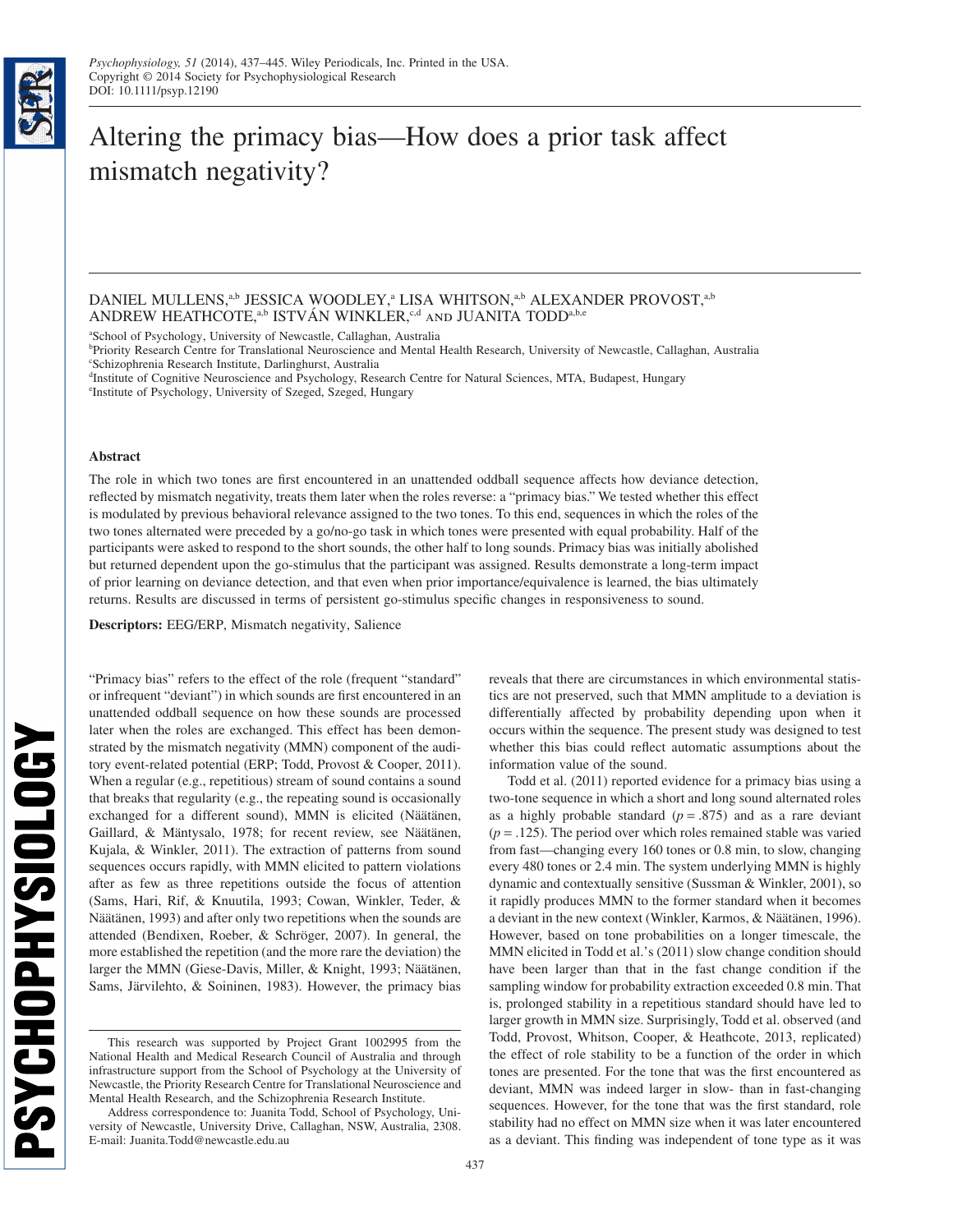bs\_bs\_banner

**PSYCHOPHYSIOLOGY** 

# Altering the primacy bias—How does a prior task affect mismatch negativity?

DANIEL MULLENS,<sup>a,b</sup> JESSICA WOODLEY,<sup>a</sup> LISA WHITSON,<sup>a,b</sup> ALEXANDER PROVOST,<sup>a,b</sup> ANDREW HEATHCOTE,<sup>a,b</sup> ISTVÁN WINKLER,<sup>c,d</sup> and JUANITA TODD<sup>a,b,e</sup>

a School of Psychology, University of Newcastle, Callaghan, Australia

b Priority Research Centre for Translational Neuroscience and Mental Health Research, University of Newcastle, Callaghan, Australia c Schizophrenia Research Institute, Darlinghurst, Australia

<sup>d</sup>Institute of Cognitive Neuroscience and Psychology, Research Centre for Natural Sciences, MTA, Budapest, Hungary e Institute of Psychology, University of Szeged, Szeged, Hungary

#### **Abstract**

The role in which two tones are first encountered in an unattended oddball sequence affects how deviance detection, reflected by mismatch negativity, treats them later when the roles reverse: a "primacy bias." We tested whether this effect is modulated by previous behavioral relevance assigned to the two tones. To this end, sequences in which the roles of the two tones alternated were preceded by a go/no-go task in which tones were presented with equal probability. Half of the participants were asked to respond to the short sounds, the other half to long sounds. Primacy bias was initially abolished but returned dependent upon the go-stimulus that the participant was assigned. Results demonstrate a long-term impact of prior learning on deviance detection, and that even when prior importance/equivalence is learned, the bias ultimately returns. Results are discussed in terms of persistent go-stimulus specific changes in responsiveness to sound.

**Descriptors:** EEG/ERP, Mismatch negativity, Salience

"Primacy bias" refers to the effect of the role (frequent "standard" or infrequent "deviant") in which sounds are first encountered in an unattended oddball sequence on how these sounds are processed later when the roles are exchanged. This effect has been demonstrated by the mismatch negativity (MMN) component of the auditory event-related potential (ERP; Todd, Provost & Cooper, 2011). When a regular (e.g., repetitious) stream of sound contains a sound that breaks that regularity (e.g., the repeating sound is occasionally exchanged for a different sound), MMN is elicited (Näätänen, Gaillard, & Mäntysalo, 1978; for recent review, see Näätänen, Kujala, & Winkler, 2011). The extraction of patterns from sound sequences occurs rapidly, with MMN elicited to pattern violations after as few as three repetitions outside the focus of attention (Sams, Hari, Rif, & Knuutila, 1993; Cowan, Winkler, Teder, & Näätänen, 1993) and after only two repetitions when the sounds are attended (Bendixen, Roeber, & Schröger, 2007). In general, the more established the repetition (and the more rare the deviation) the larger the MMN (Giese-Davis, Miller, & Knight, 1993; Näätänen, Sams, Järvilehto, & Soininen, 1983). However, the primacy bias reveals that there are circumstances in which environmental statistics are not preserved, such that MMN amplitude to a deviation is differentially affected by probability depending upon when it occurs within the sequence. The present study was designed to test whether this bias could reflect automatic assumptions about the information value of the sound.

Todd et al. (2011) reported evidence for a primacy bias using a two-tone sequence in which a short and long sound alternated roles as a highly probable standard  $(p=.875)$  and as a rare deviant  $(p = .125)$ . The period over which roles remained stable was varied from fast—changing every 160 tones or 0.8 min, to slow, changing every 480 tones or 2.4 min. The system underlying MMN is highly dynamic and contextually sensitive (Sussman & Winkler, 2001), so it rapidly produces MMN to the former standard when it becomes a deviant in the new context (Winkler, Karmos, & Näätänen, 1996). However, based on tone probabilities on a longer timescale, the MMN elicited in Todd et al.'s (2011) slow change condition should have been larger than that in the fast change condition if the sampling window for probability extraction exceeded 0.8 min. That is, prolonged stability in a repetitious standard should have led to larger growth in MMN size. Surprisingly, Todd et al. observed (and Todd, Provost, Whitson, Cooper, & Heathcote, 2013, replicated) the effect of role stability to be a function of the order in which tones are presented. For the tone that was the first encountered as deviant, MMN was indeed larger in slow- than in fast-changing sequences. However, for the tone that was the first standard, role stability had no effect on MMN size when it was later encountered as a deviant. This finding was independent of tone type as it was

This research was supported by Project Grant 1002995 from the National Health and Medical Research Council of Australia and through infrastructure support from the School of Psychology at the University of Newcastle, the Priority Research Centre for Translational Neuroscience and Mental Health Research, and the Schizophrenia Research Institute.

Address correspondence to: Juanita Todd, School of Psychology, University of Newcastle, University Drive, Callaghan, NSW, Australia, 2308. E-mail: Juanita.Todd@newcastle.edu.au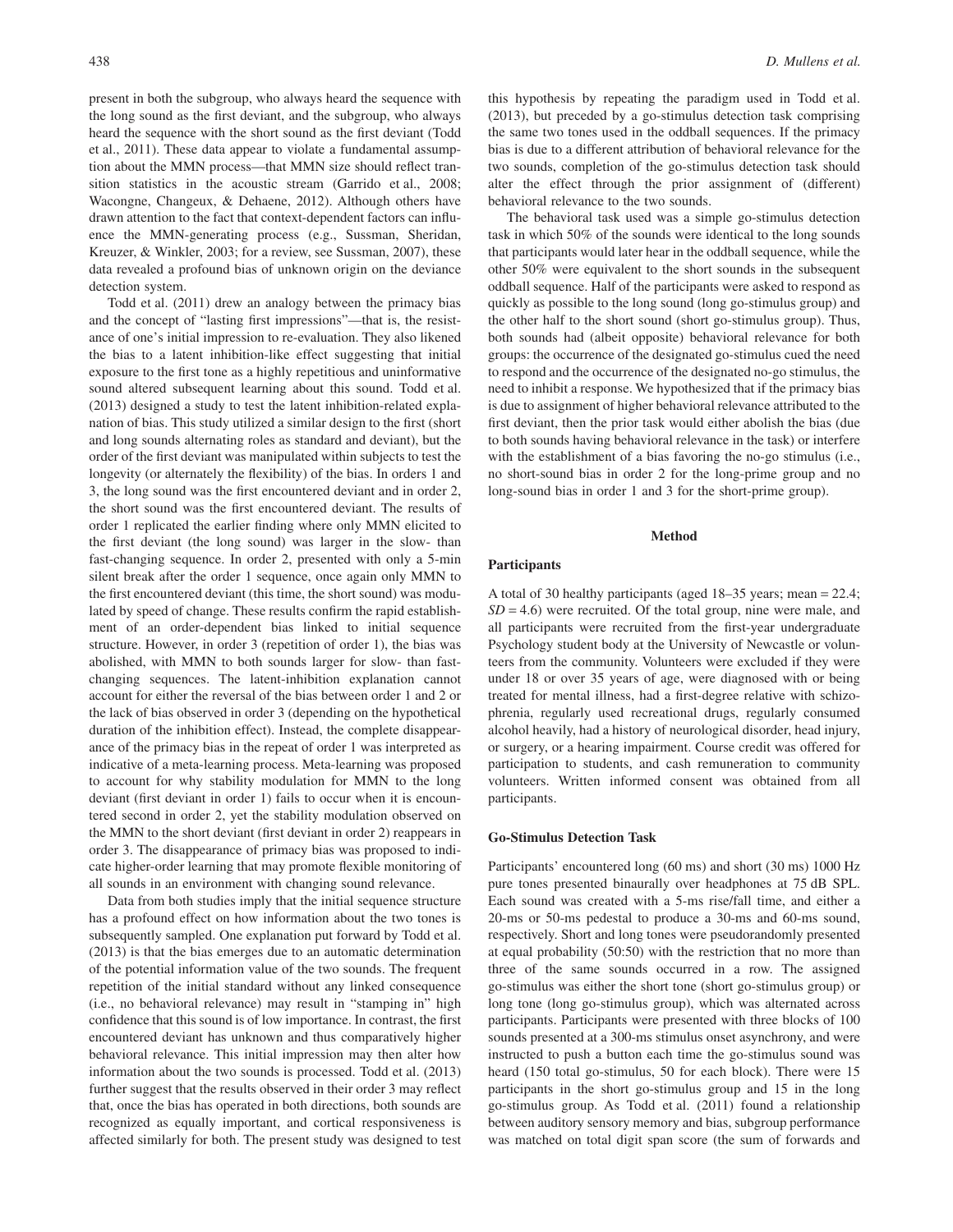present in both the subgroup, who always heard the sequence with the long sound as the first deviant, and the subgroup, who always heard the sequence with the short sound as the first deviant (Todd et al., 2011). These data appear to violate a fundamental assumption about the MMN process—that MMN size should reflect transition statistics in the acoustic stream (Garrido et al., 2008; Wacongne, Changeux, & Dehaene, 2012). Although others have drawn attention to the fact that context-dependent factors can influence the MMN-generating process (e.g., Sussman, Sheridan, Kreuzer, & Winkler, 2003; for a review, see Sussman, 2007), these data revealed a profound bias of unknown origin on the deviance detection system.

Todd et al. (2011) drew an analogy between the primacy bias and the concept of "lasting first impressions"—that is, the resistance of one's initial impression to re-evaluation. They also likened the bias to a latent inhibition-like effect suggesting that initial exposure to the first tone as a highly repetitious and uninformative sound altered subsequent learning about this sound. Todd et al. (2013) designed a study to test the latent inhibition-related explanation of bias. This study utilized a similar design to the first (short and long sounds alternating roles as standard and deviant), but the order of the first deviant was manipulated within subjects to test the longevity (or alternately the flexibility) of the bias. In orders 1 and 3, the long sound was the first encountered deviant and in order 2, the short sound was the first encountered deviant. The results of order 1 replicated the earlier finding where only MMN elicited to the first deviant (the long sound) was larger in the slow- than fast-changing sequence. In order 2, presented with only a 5-min silent break after the order 1 sequence, once again only MMN to the first encountered deviant (this time, the short sound) was modulated by speed of change. These results confirm the rapid establishment of an order-dependent bias linked to initial sequence structure. However, in order 3 (repetition of order 1), the bias was abolished, with MMN to both sounds larger for slow- than fastchanging sequences. The latent-inhibition explanation cannot account for either the reversal of the bias between order 1 and 2 or the lack of bias observed in order 3 (depending on the hypothetical duration of the inhibition effect). Instead, the complete disappearance of the primacy bias in the repeat of order 1 was interpreted as indicative of a meta-learning process. Meta-learning was proposed to account for why stability modulation for MMN to the long deviant (first deviant in order 1) fails to occur when it is encountered second in order 2, yet the stability modulation observed on the MMN to the short deviant (first deviant in order 2) reappears in order 3. The disappearance of primacy bias was proposed to indicate higher-order learning that may promote flexible monitoring of all sounds in an environment with changing sound relevance.

Data from both studies imply that the initial sequence structure has a profound effect on how information about the two tones is subsequently sampled. One explanation put forward by Todd et al. (2013) is that the bias emerges due to an automatic determination of the potential information value of the two sounds. The frequent repetition of the initial standard without any linked consequence (i.e., no behavioral relevance) may result in "stamping in" high confidence that this sound is of low importance. In contrast, the first encountered deviant has unknown and thus comparatively higher behavioral relevance. This initial impression may then alter how information about the two sounds is processed. Todd et al. (2013) further suggest that the results observed in their order 3 may reflect that, once the bias has operated in both directions, both sounds are recognized as equally important, and cortical responsiveness is affected similarly for both. The present study was designed to test this hypothesis by repeating the paradigm used in Todd et al. (2013), but preceded by a go-stimulus detection task comprising the same two tones used in the oddball sequences. If the primacy bias is due to a different attribution of behavioral relevance for the two sounds, completion of the go-stimulus detection task should alter the effect through the prior assignment of (different) behavioral relevance to the two sounds.

The behavioral task used was a simple go-stimulus detection task in which 50% of the sounds were identical to the long sounds that participants would later hear in the oddball sequence, while the other 50% were equivalent to the short sounds in the subsequent oddball sequence. Half of the participants were asked to respond as quickly as possible to the long sound (long go-stimulus group) and the other half to the short sound (short go-stimulus group). Thus, both sounds had (albeit opposite) behavioral relevance for both groups: the occurrence of the designated go-stimulus cued the need to respond and the occurrence of the designated no-go stimulus, the need to inhibit a response. We hypothesized that if the primacy bias is due to assignment of higher behavioral relevance attributed to the first deviant, then the prior task would either abolish the bias (due to both sounds having behavioral relevance in the task) or interfere with the establishment of a bias favoring the no-go stimulus (i.e., no short-sound bias in order 2 for the long-prime group and no long-sound bias in order 1 and 3 for the short-prime group).

#### **Method**

#### **Participants**

A total of 30 healthy participants (aged 18–35 years; mean = 22.4;  $SD = 4.6$ ) were recruited. Of the total group, nine were male, and all participants were recruited from the first-year undergraduate Psychology student body at the University of Newcastle or volunteers from the community. Volunteers were excluded if they were under 18 or over 35 years of age, were diagnosed with or being treated for mental illness, had a first-degree relative with schizophrenia, regularly used recreational drugs, regularly consumed alcohol heavily, had a history of neurological disorder, head injury, or surgery, or a hearing impairment. Course credit was offered for participation to students, and cash remuneration to community volunteers. Written informed consent was obtained from all participants.

## **Go-Stimulus Detection Task**

Participants' encountered long (60 ms) and short (30 ms) 1000 Hz pure tones presented binaurally over headphones at 75 dB SPL. Each sound was created with a 5-ms rise/fall time, and either a 20-ms or 50-ms pedestal to produce a 30-ms and 60-ms sound, respectively. Short and long tones were pseudorandomly presented at equal probability (50:50) with the restriction that no more than three of the same sounds occurred in a row. The assigned go-stimulus was either the short tone (short go-stimulus group) or long tone (long go-stimulus group), which was alternated across participants. Participants were presented with three blocks of 100 sounds presented at a 300-ms stimulus onset asynchrony, and were instructed to push a button each time the go-stimulus sound was heard (150 total go-stimulus, 50 for each block). There were 15 participants in the short go-stimulus group and 15 in the long go-stimulus group. As Todd et al. (2011) found a relationship between auditory sensory memory and bias, subgroup performance was matched on total digit span score (the sum of forwards and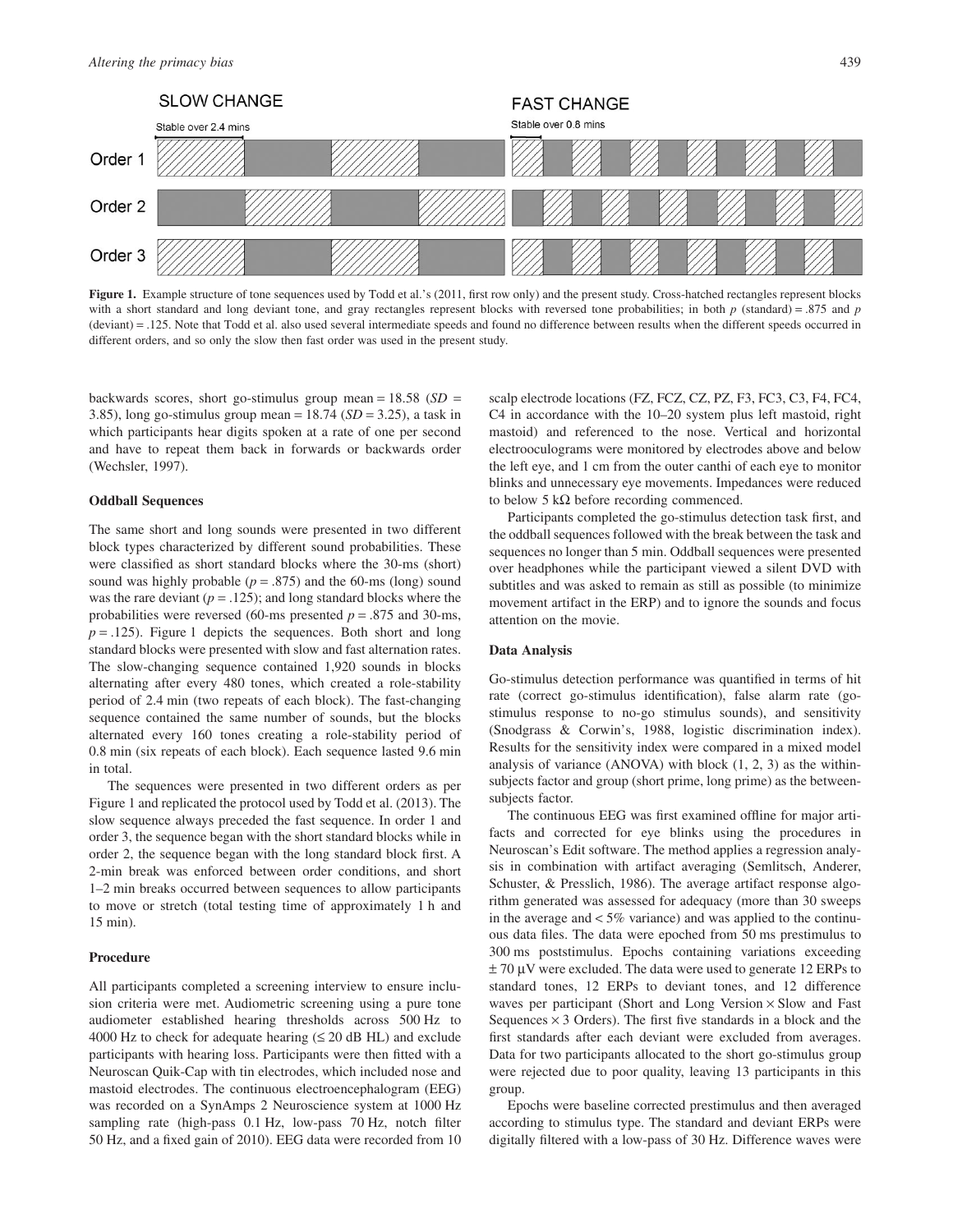

**Figure 1.** Example structure of tone sequences used by Todd et al.'s (2011, first row only) and the present study. Cross-hatched rectangles represent blocks with a short standard and long deviant tone, and gray rectangles represent blocks with reversed tone probabilities; in both *p* (standard) = .875 and *p* (deviant) = .125. Note that Todd et al. also used several intermediate speeds and found no difference between results when the different speeds occurred in different orders, and so only the slow then fast order was used in the present study.

backwards scores, short go-stimulus group mean = 18.58 (*SD* = 3.85), long go-stimulus group mean =  $18.74$  ( $SD = 3.25$ ), a task in which participants hear digits spoken at a rate of one per second and have to repeat them back in forwards or backwards order (Wechsler, 1997).

#### **Oddball Sequences**

The same short and long sounds were presented in two different block types characterized by different sound probabilities. These were classified as short standard blocks where the 30-ms (short) sound was highly probable  $(p = .875)$  and the 60-ms (long) sound was the rare deviant ( $p = .125$ ); and long standard blocks where the probabilities were reversed (60-ms presented  $p = .875$  and 30-ms,  $p = .125$ ). Figure 1 depicts the sequences. Both short and long standard blocks were presented with slow and fast alternation rates. The slow-changing sequence contained 1,920 sounds in blocks alternating after every 480 tones, which created a role-stability period of 2.4 min (two repeats of each block). The fast-changing sequence contained the same number of sounds, but the blocks alternated every 160 tones creating a role-stability period of 0.8 min (six repeats of each block). Each sequence lasted 9.6 min in total.

The sequences were presented in two different orders as per Figure 1 and replicated the protocol used by Todd et al. (2013). The slow sequence always preceded the fast sequence. In order 1 and order 3, the sequence began with the short standard blocks while in order 2, the sequence began with the long standard block first. A 2-min break was enforced between order conditions, and short 1–2 min breaks occurred between sequences to allow participants to move or stretch (total testing time of approximately 1 h and 15 min).

## **Procedure**

All participants completed a screening interview to ensure inclusion criteria were met. Audiometric screening using a pure tone audiometer established hearing thresholds across 500 Hz to 4000 Hz to check for adequate hearing  $(\leq 20 \text{ dB HL})$  and exclude participants with hearing loss. Participants were then fitted with a Neuroscan Quik-Cap with tin electrodes, which included nose and mastoid electrodes. The continuous electroencephalogram (EEG) was recorded on a SynAmps 2 Neuroscience system at 1000 Hz sampling rate (high-pass 0.1 Hz, low-pass 70 Hz, notch filter 50 Hz, and a fixed gain of 2010). EEG data were recorded from 10 scalp electrode locations (FZ, FCZ, CZ, PZ, F3, FC3, C3, F4, FC4, C4 in accordance with the 10–20 system plus left mastoid, right mastoid) and referenced to the nose. Vertical and horizontal electrooculograms were monitored by electrodes above and below the left eye, and 1 cm from the outer canthi of each eye to monitor blinks and unnecessary eye movements. Impedances were reduced to below 5 kΩ before recording commenced.

Participants completed the go-stimulus detection task first, and the oddball sequences followed with the break between the task and sequences no longer than 5 min. Oddball sequences were presented over headphones while the participant viewed a silent DVD with subtitles and was asked to remain as still as possible (to minimize movement artifact in the ERP) and to ignore the sounds and focus attention on the movie.

#### **Data Analysis**

Go-stimulus detection performance was quantified in terms of hit rate (correct go-stimulus identification), false alarm rate (gostimulus response to no-go stimulus sounds), and sensitivity (Snodgrass & Corwin's, 1988, logistic discrimination index). Results for the sensitivity index were compared in a mixed model analysis of variance (ANOVA) with block (1, 2, 3) as the withinsubjects factor and group (short prime, long prime) as the betweensubjects factor.

The continuous EEG was first examined offline for major artifacts and corrected for eye blinks using the procedures in Neuroscan's Edit software. The method applies a regression analysis in combination with artifact averaging (Semlitsch, Anderer, Schuster, & Presslich, 1986). The average artifact response algorithm generated was assessed for adequacy (more than 30 sweeps in the average and  $\lt 5\%$  variance) and was applied to the continuous data files. The data were epoched from 50 ms prestimulus to 300 ms poststimulus. Epochs containing variations exceeding  $\pm$  70 µV were excluded. The data were used to generate 12 ERPs to standard tones, 12 ERPs to deviant tones, and 12 difference waves per participant (Short and Long Version × Slow and Fast Sequences  $\times$  3 Orders). The first five standards in a block and the first standards after each deviant were excluded from averages. Data for two participants allocated to the short go-stimulus group were rejected due to poor quality, leaving 13 participants in this group.

Epochs were baseline corrected prestimulus and then averaged according to stimulus type. The standard and deviant ERPs were digitally filtered with a low-pass of 30 Hz. Difference waves were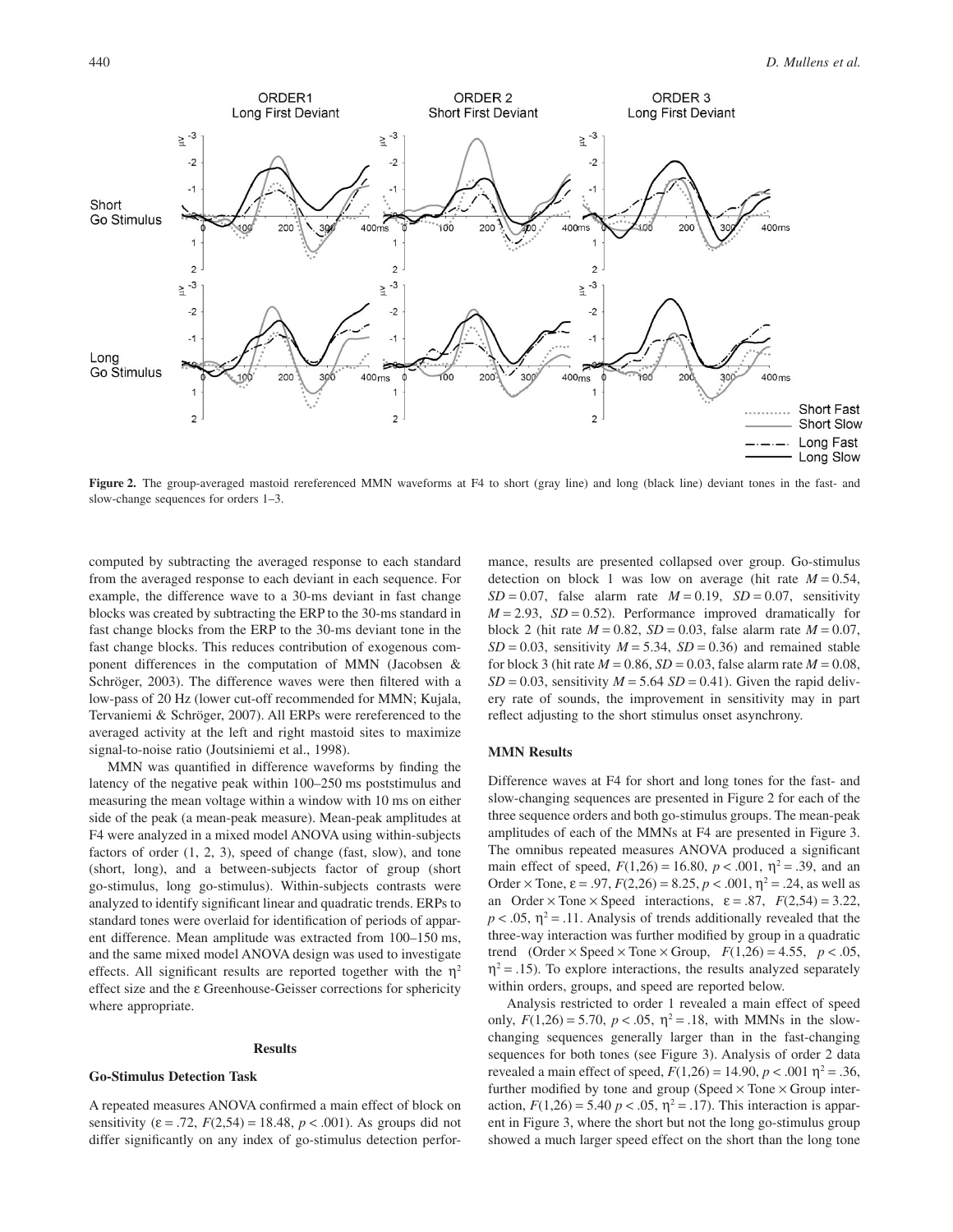

**Figure 2.** The group-averaged mastoid rereferenced MMN waveforms at F4 to short (gray line) and long (black line) deviant tones in the fast- and slow-change sequences for orders 1–3.

computed by subtracting the averaged response to each standard from the averaged response to each deviant in each sequence. For example, the difference wave to a 30-ms deviant in fast change blocks was created by subtracting the ERP to the 30-ms standard in fast change blocks from the ERP to the 30-ms deviant tone in the fast change blocks. This reduces contribution of exogenous component differences in the computation of MMN (Jacobsen & Schröger, 2003). The difference waves were then filtered with a low-pass of 20 Hz (lower cut-off recommended for MMN; Kujala, Tervaniemi & Schröger, 2007). All ERPs were rereferenced to the averaged activity at the left and right mastoid sites to maximize signal-to-noise ratio (Joutsiniemi et al., 1998).

MMN was quantified in difference waveforms by finding the latency of the negative peak within 100–250 ms poststimulus and measuring the mean voltage within a window with 10 ms on either side of the peak (a mean-peak measure). Mean-peak amplitudes at F4 were analyzed in a mixed model ANOVA using within-subjects factors of order (1, 2, 3), speed of change (fast, slow), and tone (short, long), and a between-subjects factor of group (short go-stimulus, long go-stimulus). Within-subjects contrasts were analyzed to identify significant linear and quadratic trends. ERPs to standard tones were overlaid for identification of periods of apparent difference. Mean amplitude was extracted from 100–150 ms, and the same mixed model ANOVA design was used to investigate effects. All significant results are reported together with the  $\eta^2$ effect size and the ε Greenhouse-Geisser corrections for sphericity where appropriate.

#### **Results**

# **Go-Stimulus Detection Task**

A repeated measures ANOVA confirmed a main effect of block on sensitivity  $(\epsilon = .72, F(2,54) = 18.48, p < .001)$ . As groups did not differ significantly on any index of go-stimulus detection performance, results are presented collapsed over group. Go-stimulus detection on block 1 was low on average (hit rate  $M = 0.54$ ,  $SD = 0.07$ , false alarm rate  $M = 0.19$ ,  $SD = 0.07$ , sensitivity  $M = 2.93$ ,  $SD = 0.52$ . Performance improved dramatically for block 2 (hit rate  $M = 0.82$ ,  $SD = 0.03$ , false alarm rate  $M = 0.07$ ,  $SD = 0.03$ , sensitivity  $M = 5.34$ ,  $SD = 0.36$ ) and remained stable for block 3 (hit rate  $M = 0.86$ ,  $SD = 0.03$ , false alarm rate  $M = 0.08$ ,  $SD = 0.03$ , sensitivity  $M = 5.64$   $SD = 0.41$ ). Given the rapid delivery rate of sounds, the improvement in sensitivity may in part reflect adjusting to the short stimulus onset asynchrony.

# **MMN Results**

Difference waves at F4 for short and long tones for the fast- and slow-changing sequences are presented in Figure 2 for each of the three sequence orders and both go-stimulus groups. The mean-peak amplitudes of each of the MMNs at F4 are presented in Figure 3. The omnibus repeated measures ANOVA produced a significant main effect of speed,  $F(1,26) = 16.80$ ,  $p < .001$ ,  $\eta^2 = .39$ , and an Order  $\times$  Tone,  $\varepsilon$  = .97,  $F(2,26) = 8.25$ ,  $p < .001$ ,  $\eta^2 = .24$ , as well as an Order  $\times$  Tone  $\times$  Speed interactions,  $\varepsilon = .87$ ,  $F(2,54) = 3.22$ ,  $p < .05$ ,  $\eta^2 = .11$ . Analysis of trends additionally revealed that the three-way interaction was further modified by group in a quadratic trend (Order  $\times$  Speed  $\times$  Tone  $\times$  Group,  $F(1,26) = 4.55$ ,  $p < .05$ ,  $\eta^2$  = .15). To explore interactions, the results analyzed separately within orders, groups, and speed are reported below.

Analysis restricted to order 1 revealed a main effect of speed only,  $F(1,26) = 5.70$ ,  $p < .05$ ,  $\eta^2 = .18$ , with MMNs in the slowchanging sequences generally larger than in the fast-changing sequences for both tones (see Figure 3). Analysis of order 2 data revealed a main effect of speed,  $F(1,26) = 14.90$ ,  $p < .001$   $\eta^2 = .36$ , further modified by tone and group (Speed  $\times$  Tone  $\times$  Group interaction,  $F(1,26) = 5.40 \, p < .05$ ,  $\eta^2 = .17$ ). This interaction is apparent in Figure 3, where the short but not the long go-stimulus group showed a much larger speed effect on the short than the long tone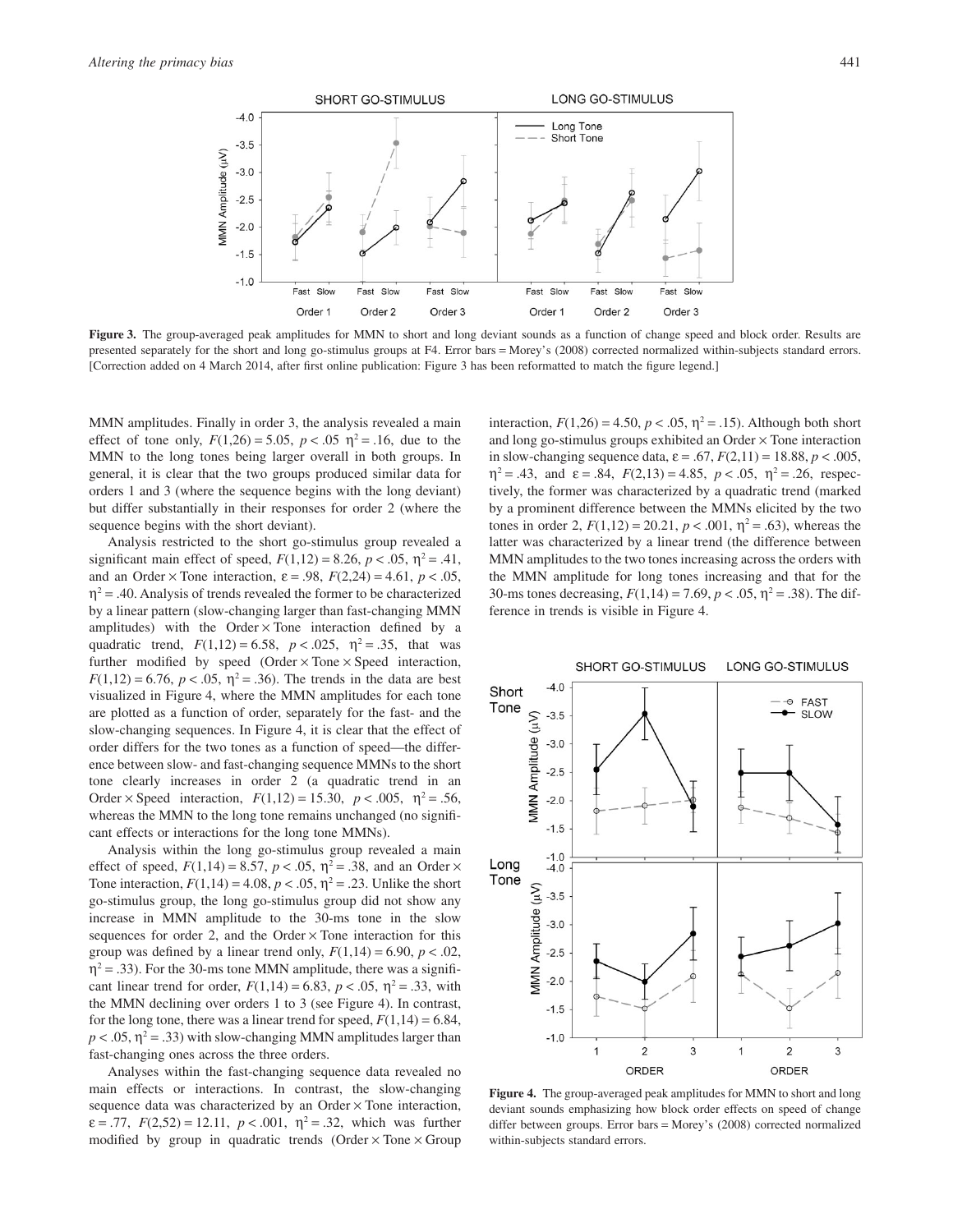

**Figure 3.** The group-averaged peak amplitudes for MMN to short and long deviant sounds as a function of change speed and block order. Results are presented separately for the short and long go-stimulus groups at F4. Error bars = Morey's (2008) corrected normalized within-subjects standard errors. [Correction added on 4 March 2014, after first online publication: Figure 3 has been reformatted to match the figure legend.]

MMN amplitudes. Finally in order 3, the analysis revealed a main effect of tone only,  $F(1,26) = 5.05$ ,  $p < .05$   $\eta^2 = .16$ , due to the MMN to the long tones being larger overall in both groups. In general, it is clear that the two groups produced similar data for orders 1 and 3 (where the sequence begins with the long deviant) but differ substantially in their responses for order 2 (where the sequence begins with the short deviant).

Analysis restricted to the short go-stimulus group revealed a significant main effect of speed,  $F(1,12) = 8.26$ ,  $p < .05$ ,  $\eta^2 = .41$ , and an Order  $\times$  Tone interaction,  $\varepsilon$  = .98,  $F(2,24)$  = 4.61,  $p < .05$ ,  $\eta^2$  = .40. Analysis of trends revealed the former to be characterized by a linear pattern (slow-changing larger than fast-changing MMN amplitudes) with the Order  $\times$  Tone interaction defined by a quadratic trend,  $F(1,12) = 6.58$ ,  $p < .025$ ,  $\eta^2 = .35$ , that was further modified by speed (Order  $\times$  Tone  $\times$  Speed interaction,  $F(1,12) = 6.76$ ,  $p < .05$ ,  $\eta^2 = .36$ ). The trends in the data are best visualized in Figure 4, where the MMN amplitudes for each tone are plotted as a function of order, separately for the fast- and the slow-changing sequences. In Figure 4, it is clear that the effect of order differs for the two tones as a function of speed—the difference between slow- and fast-changing sequence MMNs to the short tone clearly increases in order 2 (a quadratic trend in an Order  $\times$  Speed interaction,  $F(1,12) = 15.30, p < .005, \eta^2 = .56,$ whereas the MMN to the long tone remains unchanged (no significant effects or interactions for the long tone MMNs).

Analysis within the long go-stimulus group revealed a main effect of speed,  $F(1,14) = 8.57$ ,  $p < .05$ ,  $\eta^2 = .38$ , and an Order  $\times$ Tone interaction,  $F(1,14) = 4.08$ ,  $p < .05$ ,  $\eta^2 = .23$ . Unlike the short go-stimulus group, the long go-stimulus group did not show any increase in MMN amplitude to the 30-ms tone in the slow sequences for order 2, and the Order  $\times$  Tone interaction for this group was defined by a linear trend only,  $F(1,14) = 6.90$ ,  $p < .02$ ,  $\eta^2$  = .33). For the 30-ms tone MMN amplitude, there was a significant linear trend for order,  $F(1,14) = 6.83$ ,  $p < .05$ ,  $\eta^2 = .33$ , with the MMN declining over orders 1 to 3 (see Figure 4). In contrast, for the long tone, there was a linear trend for speed,  $F(1,14) = 6.84$ ,  $p < .05$ ,  $\eta^2 = .33$ ) with slow-changing MMN amplitudes larger than fast-changing ones across the three orders.

Analyses within the fast-changing sequence data revealed no main effects or interactions. In contrast, the slow-changing sequence data was characterized by an Order  $\times$  Tone interaction,  $\varepsilon = .77$ ,  $F(2,52) = 12.11$ ,  $p < .001$ ,  $\eta^2 = .32$ , which was further modified by group in quadratic trends (Order  $\times$  Tone  $\times$  Group interaction,  $F(1,26) = 4.50$ ,  $p < .05$ ,  $\eta^2 = .15$ ). Although both short and long go-stimulus groups exhibited an Order  $\times$  Tone interaction in slow-changing sequence data,  $ε = .67$ ,  $F(2,11) = 18.88$ ,  $p < .005$ ,  $\eta^2 = .43$ , and  $\varepsilon = .84$ ,  $F(2,13) = 4.85$ ,  $p < .05$ ,  $\eta^2 = .26$ , respectively, the former was characterized by a quadratic trend (marked by a prominent difference between the MMNs elicited by the two tones in order 2,  $F(1,12) = 20.21$ ,  $p < .001$ ,  $\eta^2 = .63$ ), whereas the latter was characterized by a linear trend (the difference between MMN amplitudes to the two tones increasing across the orders with the MMN amplitude for long tones increasing and that for the 30-ms tones decreasing,  $F(1,14) = 7.69$ ,  $p < .05$ ,  $\eta^2 = .38$ ). The difference in trends is visible in Figure 4.



**Figure 4.** The group-averaged peak amplitudes for MMN to short and long deviant sounds emphasizing how block order effects on speed of change differ between groups. Error bars = Morey's (2008) corrected normalized within-subjects standard errors.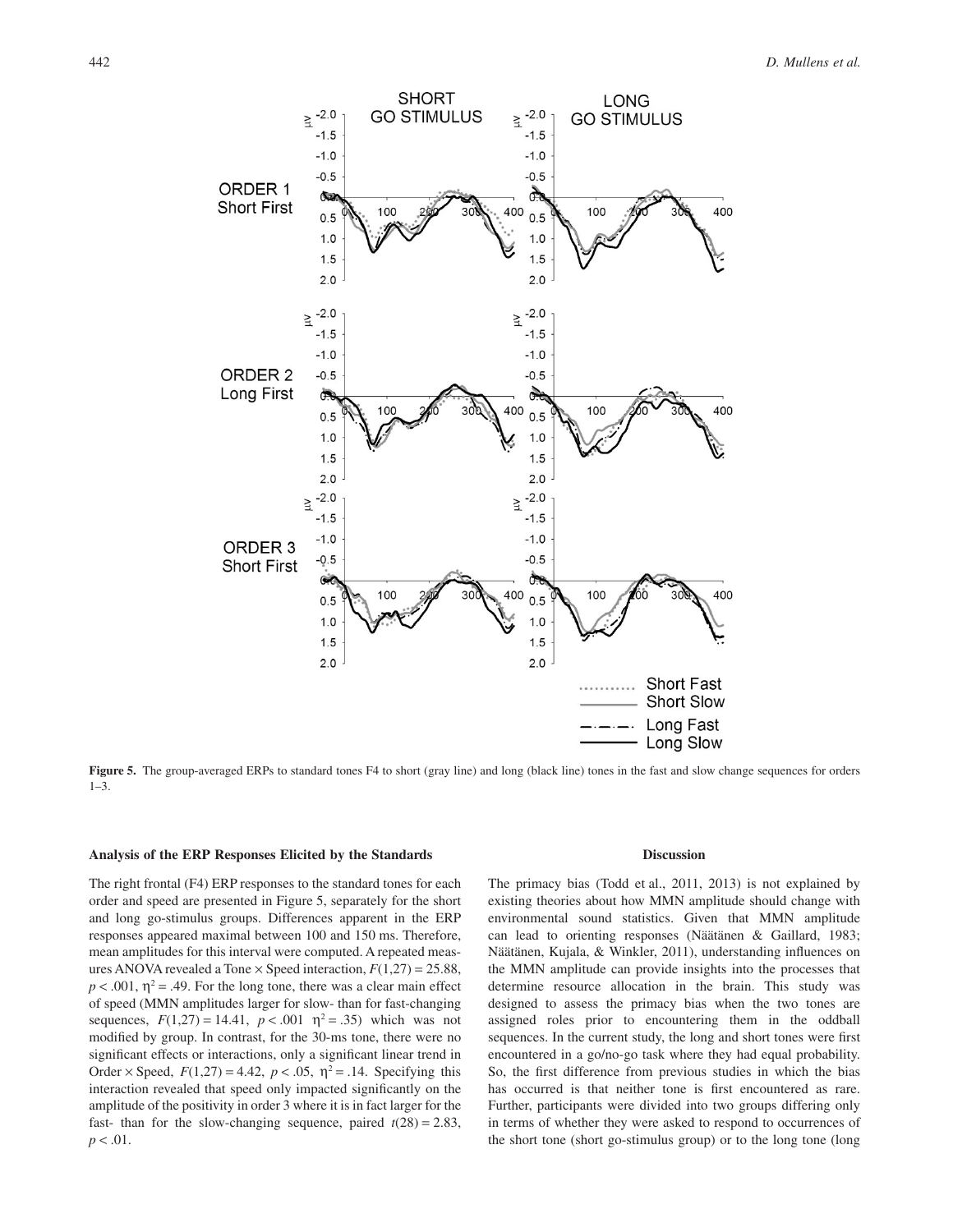

**Figure 5.** The group-averaged ERPs to standard tones F4 to short (gray line) and long (black line) tones in the fast and slow change sequences for orders  $1 - 3$ 

## **Analysis of the ERP Responses Elicited by the Standards**

The right frontal (F4) ERP responses to the standard tones for each order and speed are presented in Figure 5, separately for the short and long go-stimulus groups. Differences apparent in the ERP responses appeared maximal between 100 and 150 ms. Therefore, mean amplitudes for this interval were computed. A repeated measures ANOVA revealed a Tone  $\times$  Speed interaction,  $F(1,27) = 25.88$ ,  $p < .001$ ,  $\eta^2 = .49$ . For the long tone, there was a clear main effect of speed (MMN amplitudes larger for slow- than for fast-changing sequences,  $F(1,27) = 14.41$ ,  $p < .001$   $\eta^2 = .35$ ) which was not modified by group. In contrast, for the 30-ms tone, there were no significant effects or interactions, only a significant linear trend in Order  $\times$  Speed,  $F(1,27) = 4.42$ ,  $p < .05$ ,  $\eta^2 = .14$ . Specifying this interaction revealed that speed only impacted significantly on the amplitude of the positivity in order 3 where it is in fact larger for the fast- than for the slow-changing sequence, paired  $t(28) = 2.83$ ,  $p < .01$ .

## **Discussion**

The primacy bias (Todd et al., 2011, 2013) is not explained by existing theories about how MMN amplitude should change with environmental sound statistics. Given that MMN amplitude can lead to orienting responses (Näätänen & Gaillard, 1983; Näätänen, Kujala, & Winkler, 2011), understanding influences on the MMN amplitude can provide insights into the processes that determine resource allocation in the brain. This study was designed to assess the primacy bias when the two tones are assigned roles prior to encountering them in the oddball sequences. In the current study, the long and short tones were first encountered in a go/no-go task where they had equal probability. So, the first difference from previous studies in which the bias has occurred is that neither tone is first encountered as rare. Further, participants were divided into two groups differing only in terms of whether they were asked to respond to occurrences of the short tone (short go-stimulus group) or to the long tone (long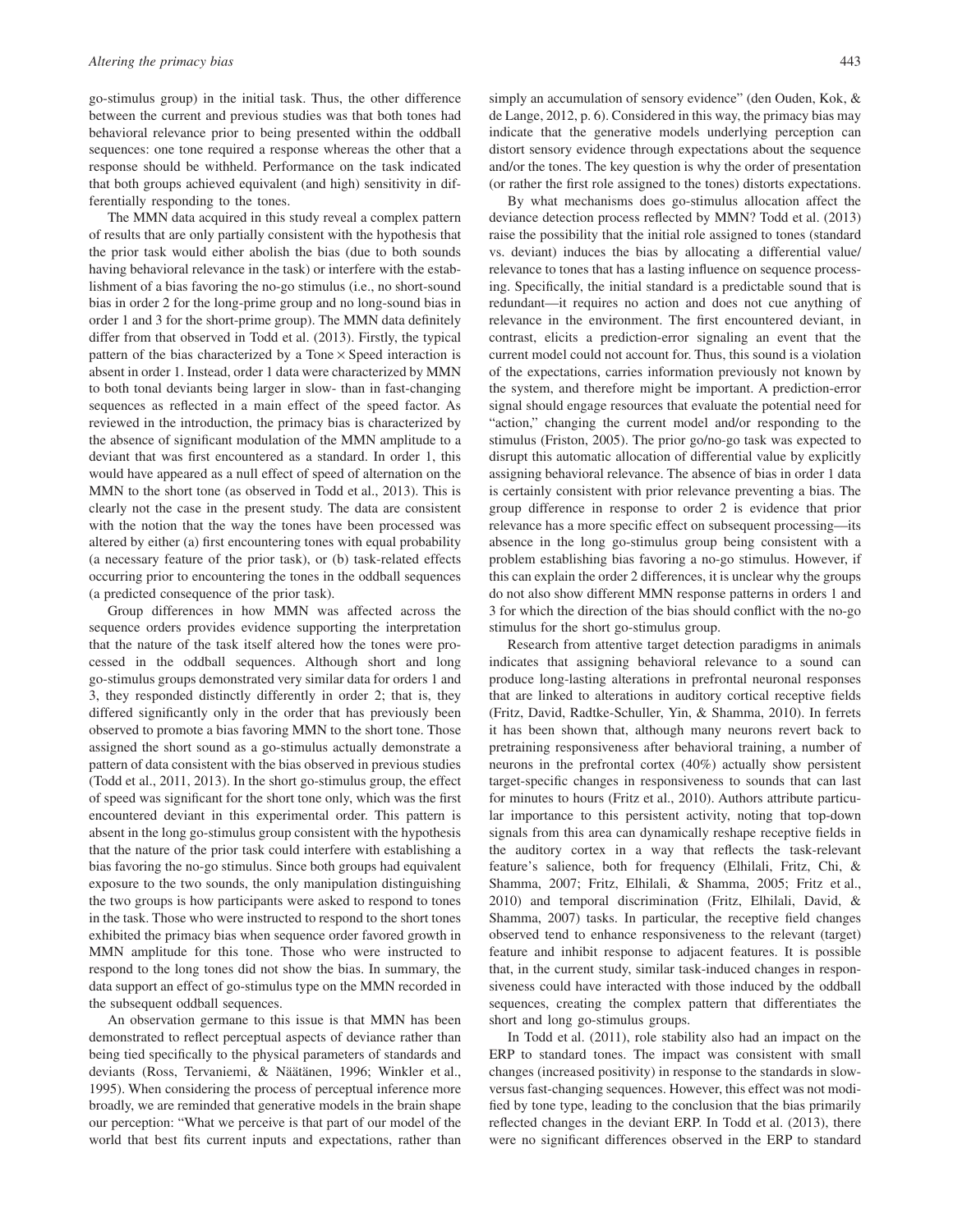go-stimulus group) in the initial task. Thus, the other difference between the current and previous studies was that both tones had behavioral relevance prior to being presented within the oddball sequences: one tone required a response whereas the other that a response should be withheld. Performance on the task indicated that both groups achieved equivalent (and high) sensitivity in differentially responding to the tones.

The MMN data acquired in this study reveal a complex pattern of results that are only partially consistent with the hypothesis that the prior task would either abolish the bias (due to both sounds having behavioral relevance in the task) or interfere with the establishment of a bias favoring the no-go stimulus (i.e., no short-sound bias in order 2 for the long-prime group and no long-sound bias in order 1 and 3 for the short-prime group). The MMN data definitely differ from that observed in Todd et al. (2013). Firstly, the typical pattern of the bias characterized by a Tone  $\times$  Speed interaction is absent in order 1. Instead, order 1 data were characterized by MMN to both tonal deviants being larger in slow- than in fast-changing sequences as reflected in a main effect of the speed factor. As reviewed in the introduction, the primacy bias is characterized by the absence of significant modulation of the MMN amplitude to a deviant that was first encountered as a standard. In order 1, this would have appeared as a null effect of speed of alternation on the MMN to the short tone (as observed in Todd et al., 2013). This is clearly not the case in the present study. The data are consistent with the notion that the way the tones have been processed was altered by either (a) first encountering tones with equal probability (a necessary feature of the prior task), or (b) task-related effects occurring prior to encountering the tones in the oddball sequences (a predicted consequence of the prior task).

Group differences in how MMN was affected across the sequence orders provides evidence supporting the interpretation that the nature of the task itself altered how the tones were processed in the oddball sequences. Although short and long go-stimulus groups demonstrated very similar data for orders 1 and 3, they responded distinctly differently in order 2; that is, they differed significantly only in the order that has previously been observed to promote a bias favoring MMN to the short tone. Those assigned the short sound as a go-stimulus actually demonstrate a pattern of data consistent with the bias observed in previous studies (Todd et al., 2011, 2013). In the short go-stimulus group, the effect of speed was significant for the short tone only, which was the first encountered deviant in this experimental order. This pattern is absent in the long go-stimulus group consistent with the hypothesis that the nature of the prior task could interfere with establishing a bias favoring the no-go stimulus. Since both groups had equivalent exposure to the two sounds, the only manipulation distinguishing the two groups is how participants were asked to respond to tones in the task. Those who were instructed to respond to the short tones exhibited the primacy bias when sequence order favored growth in MMN amplitude for this tone. Those who were instructed to respond to the long tones did not show the bias. In summary, the data support an effect of go-stimulus type on the MMN recorded in the subsequent oddball sequences.

An observation germane to this issue is that MMN has been demonstrated to reflect perceptual aspects of deviance rather than being tied specifically to the physical parameters of standards and deviants (Ross, Tervaniemi, & Näätänen, 1996; Winkler et al., 1995). When considering the process of perceptual inference more broadly, we are reminded that generative models in the brain shape our perception: "What we perceive is that part of our model of the world that best fits current inputs and expectations, rather than simply an accumulation of sensory evidence" (den Ouden, Kok, & de Lange, 2012, p. 6). Considered in this way, the primacy bias may indicate that the generative models underlying perception can distort sensory evidence through expectations about the sequence and/or the tones. The key question is why the order of presentation (or rather the first role assigned to the tones) distorts expectations.

By what mechanisms does go-stimulus allocation affect the deviance detection process reflected by MMN? Todd et al. (2013) raise the possibility that the initial role assigned to tones (standard vs. deviant) induces the bias by allocating a differential value/ relevance to tones that has a lasting influence on sequence processing. Specifically, the initial standard is a predictable sound that is redundant—it requires no action and does not cue anything of relevance in the environment. The first encountered deviant, in contrast, elicits a prediction-error signaling an event that the current model could not account for. Thus, this sound is a violation of the expectations, carries information previously not known by the system, and therefore might be important. A prediction-error signal should engage resources that evaluate the potential need for "action," changing the current model and/or responding to the stimulus (Friston, 2005). The prior go/no-go task was expected to disrupt this automatic allocation of differential value by explicitly assigning behavioral relevance. The absence of bias in order 1 data is certainly consistent with prior relevance preventing a bias. The group difference in response to order 2 is evidence that prior relevance has a more specific effect on subsequent processing—its absence in the long go-stimulus group being consistent with a problem establishing bias favoring a no-go stimulus. However, if this can explain the order 2 differences, it is unclear why the groups do not also show different MMN response patterns in orders 1 and 3 for which the direction of the bias should conflict with the no-go stimulus for the short go-stimulus group.

Research from attentive target detection paradigms in animals indicates that assigning behavioral relevance to a sound can produce long-lasting alterations in prefrontal neuronal responses that are linked to alterations in auditory cortical receptive fields (Fritz, David, Radtke-Schuller, Yin, & Shamma, 2010). In ferrets it has been shown that, although many neurons revert back to pretraining responsiveness after behavioral training, a number of neurons in the prefrontal cortex (40%) actually show persistent target-specific changes in responsiveness to sounds that can last for minutes to hours (Fritz et al., 2010). Authors attribute particular importance to this persistent activity, noting that top-down signals from this area can dynamically reshape receptive fields in the auditory cortex in a way that reflects the task-relevant feature's salience, both for frequency (Elhilali, Fritz, Chi, & Shamma, 2007; Fritz, Elhilali, & Shamma, 2005; Fritz et al., 2010) and temporal discrimination (Fritz, Elhilali, David, & Shamma, 2007) tasks. In particular, the receptive field changes observed tend to enhance responsiveness to the relevant (target) feature and inhibit response to adjacent features. It is possible that, in the current study, similar task-induced changes in responsiveness could have interacted with those induced by the oddball sequences, creating the complex pattern that differentiates the short and long go-stimulus groups.

In Todd et al. (2011), role stability also had an impact on the ERP to standard tones. The impact was consistent with small changes (increased positivity) in response to the standards in slowversus fast-changing sequences. However, this effect was not modified by tone type, leading to the conclusion that the bias primarily reflected changes in the deviant ERP. In Todd et al. (2013), there were no significant differences observed in the ERP to standard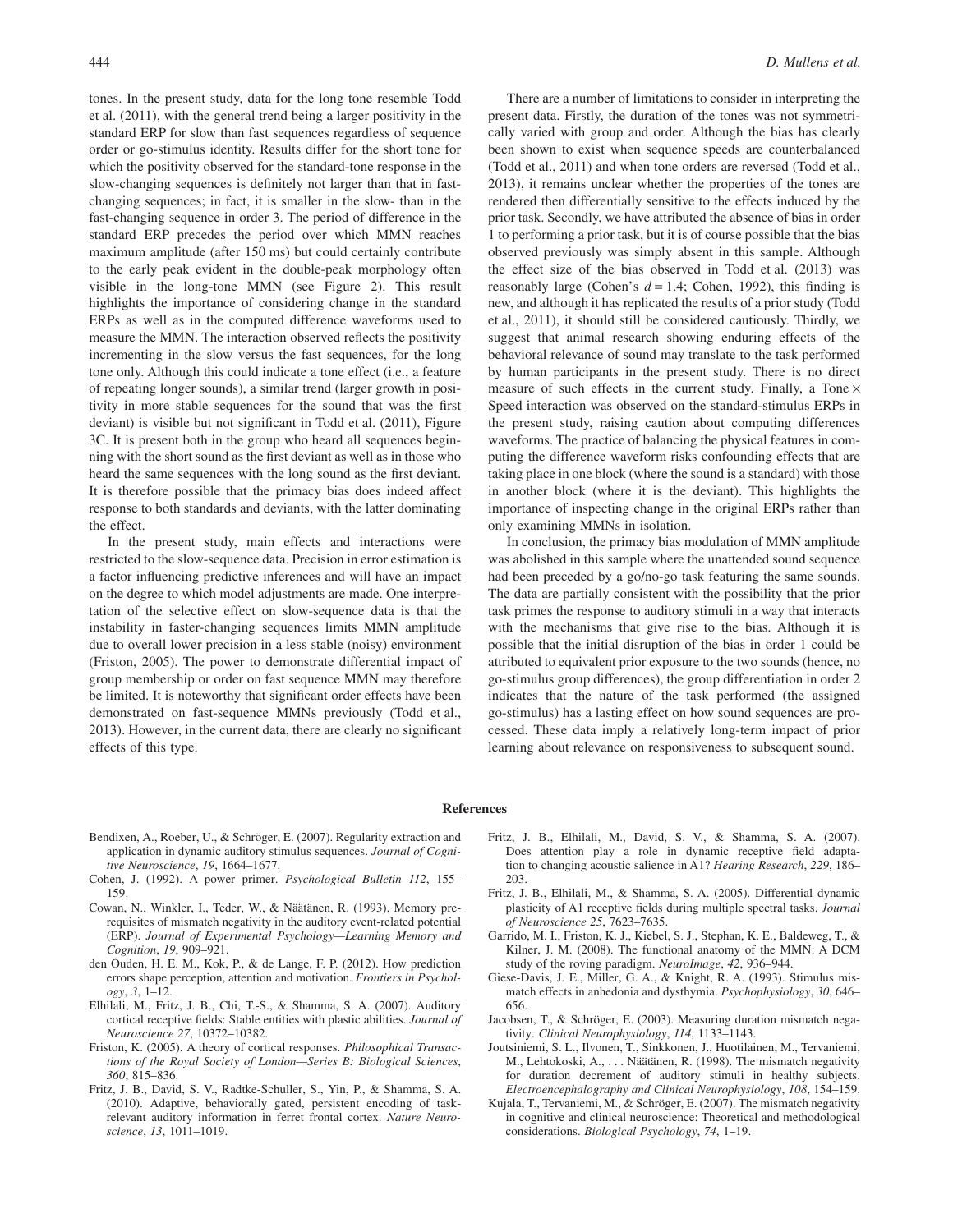tones. In the present study, data for the long tone resemble Todd et al. (2011), with the general trend being a larger positivity in the standard ERP for slow than fast sequences regardless of sequence order or go-stimulus identity. Results differ for the short tone for which the positivity observed for the standard-tone response in the slow-changing sequences is definitely not larger than that in fastchanging sequences; in fact, it is smaller in the slow- than in the fast-changing sequence in order 3. The period of difference in the standard ERP precedes the period over which MMN reaches maximum amplitude (after 150 ms) but could certainly contribute to the early peak evident in the double-peak morphology often visible in the long-tone MMN (see Figure 2). This result highlights the importance of considering change in the standard ERPs as well as in the computed difference waveforms used to measure the MMN. The interaction observed reflects the positivity incrementing in the slow versus the fast sequences, for the long tone only. Although this could indicate a tone effect (i.e., a feature of repeating longer sounds), a similar trend (larger growth in positivity in more stable sequences for the sound that was the first deviant) is visible but not significant in Todd et al. (2011), Figure 3C. It is present both in the group who heard all sequences beginning with the short sound as the first deviant as well as in those who heard the same sequences with the long sound as the first deviant. It is therefore possible that the primacy bias does indeed affect response to both standards and deviants, with the latter dominating the effect.

In the present study, main effects and interactions were restricted to the slow-sequence data. Precision in error estimation is a factor influencing predictive inferences and will have an impact on the degree to which model adjustments are made. One interpretation of the selective effect on slow-sequence data is that the instability in faster-changing sequences limits MMN amplitude due to overall lower precision in a less stable (noisy) environment (Friston, 2005). The power to demonstrate differential impact of group membership or order on fast sequence MMN may therefore be limited. It is noteworthy that significant order effects have been demonstrated on fast-sequence MMNs previously (Todd et al., 2013). However, in the current data, there are clearly no significant effects of this type.

There are a number of limitations to consider in interpreting the present data. Firstly, the duration of the tones was not symmetrically varied with group and order. Although the bias has clearly been shown to exist when sequence speeds are counterbalanced (Todd et al., 2011) and when tone orders are reversed (Todd et al., 2013), it remains unclear whether the properties of the tones are rendered then differentially sensitive to the effects induced by the prior task. Secondly, we have attributed the absence of bias in order 1 to performing a prior task, but it is of course possible that the bias observed previously was simply absent in this sample. Although the effect size of the bias observed in Todd et al. (2013) was reasonably large (Cohen's  $d = 1.4$ ; Cohen, 1992), this finding is new, and although it has replicated the results of a prior study (Todd et al., 2011), it should still be considered cautiously. Thirdly, we suggest that animal research showing enduring effects of the behavioral relevance of sound may translate to the task performed by human participants in the present study. There is no direct measure of such effects in the current study. Finally, a Tone  $\times$ Speed interaction was observed on the standard-stimulus ERPs in the present study, raising caution about computing differences waveforms. The practice of balancing the physical features in computing the difference waveform risks confounding effects that are taking place in one block (where the sound is a standard) with those in another block (where it is the deviant). This highlights the importance of inspecting change in the original ERPs rather than only examining MMNs in isolation.

In conclusion, the primacy bias modulation of MMN amplitude was abolished in this sample where the unattended sound sequence had been preceded by a go/no-go task featuring the same sounds. The data are partially consistent with the possibility that the prior task primes the response to auditory stimuli in a way that interacts with the mechanisms that give rise to the bias. Although it is possible that the initial disruption of the bias in order 1 could be attributed to equivalent prior exposure to the two sounds (hence, no go-stimulus group differences), the group differentiation in order 2 indicates that the nature of the task performed (the assigned go-stimulus) has a lasting effect on how sound sequences are processed. These data imply a relatively long-term impact of prior learning about relevance on responsiveness to subsequent sound.

### **References**

- Bendixen, A., Roeber, U., & Schröger, E. (2007). Regularity extraction and application in dynamic auditory stimulus sequences. *Journal of Cognitive Neuroscience*, *19*, 1664–1677.
- Cohen, J. (1992). A power primer. *Psychological Bulletin 112*, 155– 159.
- Cowan, N., Winkler, I., Teder, W., & Näätänen, R. (1993). Memory prerequisites of mismatch negativity in the auditory event-related potential (ERP). *Journal of Experimental Psychology—Learning Memory and Cognition*, *19*, 909–921.
- den Ouden, H. E. M., Kok, P., & de Lange, F. P. (2012). How prediction errors shape perception, attention and motivation. *Frontiers in Psychology*, *3*, 1–12.
- Elhilali, M., Fritz, J. B., Chi, T.-S., & Shamma, S. A. (2007). Auditory cortical receptive fields: Stable entities with plastic abilities. *Journal of Neuroscience 27*, 10372–10382.
- Friston, K. (2005). A theory of cortical responses. *Philosophical Transactions of the Royal Society of London—Series B: Biological Sciences*, *360*, 815–836.
- Fritz, J. B., David, S. V., Radtke-Schuller, S., Yin, P., & Shamma, S. A. (2010). Adaptive, behaviorally gated, persistent encoding of taskrelevant auditory information in ferret frontal cortex. *Nature Neuroscience*, *13*, 1011–1019.
- Fritz, J. B., Elhilali, M., David, S. V., & Shamma, S. A. (2007). Does attention play a role in dynamic receptive field adaptation to changing acoustic salience in A1? *Hearing Research*, *229*, 186– 203.
- Fritz, J. B., Elhilali, M., & Shamma, S. A. (2005). Differential dynamic plasticity of A1 receptive fields during multiple spectral tasks. *Journal of Neuroscience 25*, 7623–7635.
- Garrido, M. I., Friston, K. J., Kiebel, S. J., Stephan, K. E., Baldeweg, T., & Kilner, J. M. (2008). The functional anatomy of the MMN: A DCM study of the roving paradigm. *NeuroImage*, *42*, 936–944.
- Giese-Davis, J. E., Miller, G. A., & Knight, R. A. (1993). Stimulus mismatch effects in anhedonia and dysthymia. *Psychophysiology*, *30*, 646– 656.
- Jacobsen, T., & Schröger, E. (2003). Measuring duration mismatch negativity. *Clinical Neurophysiology*, *114*, 1133–1143.
- Joutsiniemi, S. L., Ilvonen, T., Sinkkonen, J., Huotilainen, M., Tervaniemi, M., Lehtokoski, A., . . . Näätänen, R. (1998). The mismatch negativity for duration decrement of auditory stimuli in healthy subjects. *Electroencephalography and Clinical Neurophysiology*, *108*, 154–159.
- Kujala, T., Tervaniemi, M., & Schröger, E. (2007). The mismatch negativity in cognitive and clinical neuroscience: Theoretical and methodological considerations. *Biological Psychology*, *74*, 1–19.